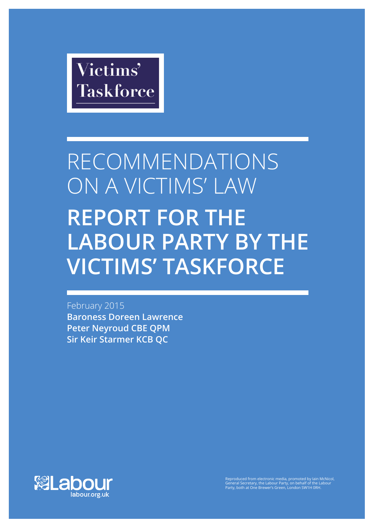

# RECOMMENDATIONS ON A VICTIMS' LAW **REPORT FOR THE LABOUR PARTY BY THE VICTIMS' TASKFORCE**

February 2015 **Baroness Doreen Lawrence Peter Neyroud CBE QPM Sir Keir Starmer KCB QC**



Reproduced from electronic media, promoted by Iain McNicol, General Secretary, the Labour Party, on behalf of the Labour Party, both at One Brewer's Green, London SW1H 0RH.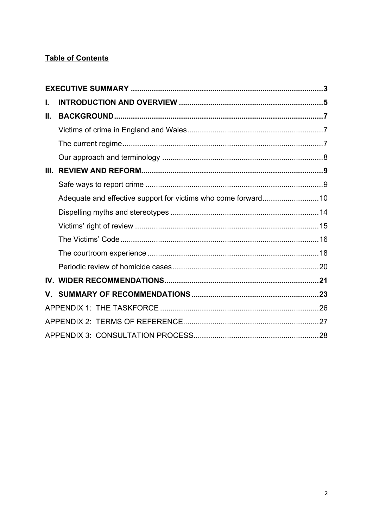# **Table of Contents**

| ı.   |  |  |
|------|--|--|
| Ш.   |  |  |
|      |  |  |
|      |  |  |
|      |  |  |
| III. |  |  |
|      |  |  |
|      |  |  |
|      |  |  |
|      |  |  |
|      |  |  |
|      |  |  |
|      |  |  |
|      |  |  |
|      |  |  |
|      |  |  |
|      |  |  |
|      |  |  |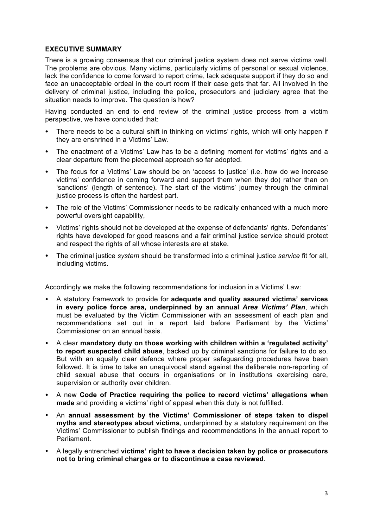# **EXECUTIVE SUMMARY**

There is a growing consensus that our criminal justice system does not serve victims well. The problems are obvious. Many victims, particularly victims of personal or sexual violence, lack the confidence to come forward to report crime, lack adequate support if they do so and face an unacceptable ordeal in the court room if their case gets that far. All involved in the delivery of criminal justice, including the police, prosecutors and judiciary agree that the situation needs to improve. The question is how?

Having conducted an end to end review of the criminal justice process from a victim perspective, we have concluded that:

- There needs to be a cultural shift in thinking on victims' rights, which will only happen if they are enshrined in a Victims' Law.
- The enactment of a Victims' Law has to be a defining moment for victims' rights and a clear departure from the piecemeal approach so far adopted.
- The focus for a Victims' Law should be on 'access to justice' (i.e. how do we increase victims' confidence in coming forward and support them when they do) rather than on 'sanctions' (length of sentence). The start of the victims' journey through the criminal justice process is often the hardest part.
- The role of the Victims' Commissioner needs to be radically enhanced with a much more powerful oversight capability,
- Victims' rights should not be developed at the expense of defendants' rights. Defendants' rights have developed for good reasons and a fair criminal justice service should protect and respect the rights of all whose interests are at stake.
- The criminal justice *system* should be transformed into a criminal justice *service* fit for all, including victims.

Accordingly we make the following recommendations for inclusion in a Victims' Law:

- A statutory framework to provide for **adequate and quality assured victims' services in every police force area, underpinned by an annual** *Area Victims' Plan*, which must be evaluated by the Victim Commissioner with an assessment of each plan and recommendations set out in a report laid before Parliament by the Victims' Commissioner on an annual basis.
- A clear **mandatory duty on those working with children within a 'regulated activity' to report suspected child abuse**, backed up by criminal sanctions for failure to do so. But with an equally clear defence where proper safeguarding procedures have been followed. It is time to take an unequivocal stand against the deliberate non-reporting of child sexual abuse that occurs in organisations or in institutions exercising care, supervision or authority over children.
- A new **Code of Practice requiring the police to record victims' allegations when made** and providing a victims' right of appeal when this duty is not fulfilled.
- An **annual assessment by the Victims' Commissioner of steps taken to dispel myths and stereotypes about victims**, underpinned by a statutory requirement on the Victims' Commissioner to publish findings and recommendations in the annual report to Parliament.
- A legally entrenched **victims' right to have a decision taken by police or prosecutors not to bring criminal charges or to discontinue a case reviewed**.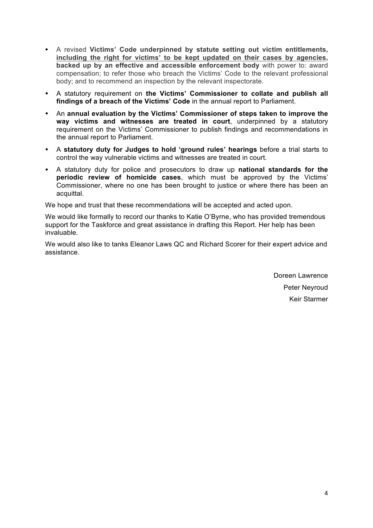- A revised **Victims' Code underpinned by statute setting out victim entitlements, including the right for victims' to be kept updated on their cases by agencies, backed up by an effective and accessible enforcement body** with power to: award compensation; to refer those who breach the Victims' Code to the relevant professional body; and to recommend an inspection by the relevant inspectorate.
- A statutory requirement on **the Victims' Commissioner to collate and publish all findings of a breach of the Victims' Code** in the annual report to Parliament.
- An **annual evaluation by the Victims' Commissioner of steps taken to improve the way victims and witnesses are treated in court**, underpinned by a statutory requirement on the Victims' Commissioner to publish findings and recommendations in the annual report to Parliament.
- A **statutory duty for Judges to hold 'ground rules' hearings** before a trial starts to control the way vulnerable victims and witnesses are treated in court.
- A statutory duty for police and prosecutors to draw up **national standards for the periodic review of homicide cases**, which must be approved by the Victims' Commissioner, where no one has been brought to justice or where there has been an acquittal.

We hope and trust that these recommendations will be accepted and acted upon.

We would like formally to record our thanks to Katie O'Byrne, who has provided tremendous support for the Taskforce and great assistance in drafting this Report. Her help has been invaluable.

We would also like to tanks Eleanor Laws QC and Richard Scorer for their expert advice and assistance.

> Doreen Lawrence Peter Neyroud Keir Starmer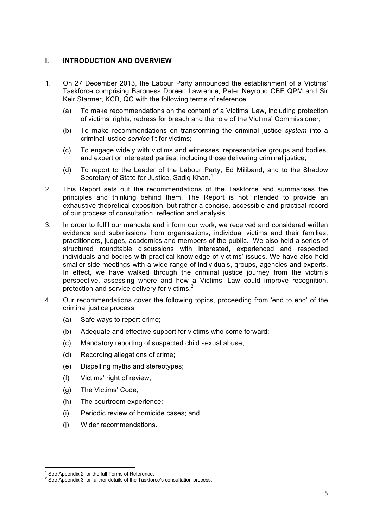# **I. INTRODUCTION AND OVERVIEW**

- 1. On 27 December 2013, the Labour Party announced the establishment of a Victims' Taskforce comprising Baroness Doreen Lawrence, Peter Neyroud CBE QPM and Sir Keir Starmer, KCB, QC with the following terms of reference:
	- (a) To make recommendations on the content of a Victims' Law, including protection of victims' rights, redress for breach and the role of the Victims' Commissioner;
	- (b) To make recommendations on transforming the criminal justice *system* into a criminal justice *service* fit for victims;
	- (c) To engage widely with victims and witnesses, representative groups and bodies, and expert or interested parties, including those delivering criminal justice;
	- (d) To report to the Leader of the Labour Party, Ed Miliband, and to the Shadow Secretary of State for Justice, Sadiq Khan.<sup>1</sup>
- 2. This Report sets out the recommendations of the Taskforce and summarises the principles and thinking behind them. The Report is not intended to provide an exhaustive theoretical exposition, but rather a concise, accessible and practical record of our process of consultation, reflection and analysis.
- 3. In order to fulfil our mandate and inform our work, we received and considered written evidence and submissions from organisations, individual victims and their families, practitioners, judges, academics and members of the public. We also held a series of structured roundtable discussions with interested, experienced and respected individuals and bodies with practical knowledge of victims' issues. We have also held smaller side meetings with a wide range of individuals, groups, agencies and experts. In effect, we have walked through the criminal justice journey from the victim's perspective, assessing where and how a Victims' Law could improve recognition, protection and service delivery for victims.<sup>2</sup>
- 4. Our recommendations cover the following topics, proceeding from 'end to end' of the criminal justice process:
	- (a) Safe ways to report crime;
	- (b) Adequate and effective support for victims who come forward;
	- (c) Mandatory reporting of suspected child sexual abuse;
	- (d) Recording allegations of crime;
	- (e) Dispelling myths and stereotypes;
	- (f) Victims' right of review;
	- (g) The Victims' Code;
	- (h) The courtroom experience;
	- (i) Periodic review of homicide cases; and
	- (j) Wider recommendations.

<sup>&</sup>lt;u> 1989 - Jan Samuel Barbara, margaret e</u> <sup>1</sup> See Appendix 2 for the full Terms of Reference.

<sup>&</sup>lt;sup>2</sup> See Appendix 3 for further details of the Taskforce's consultation process.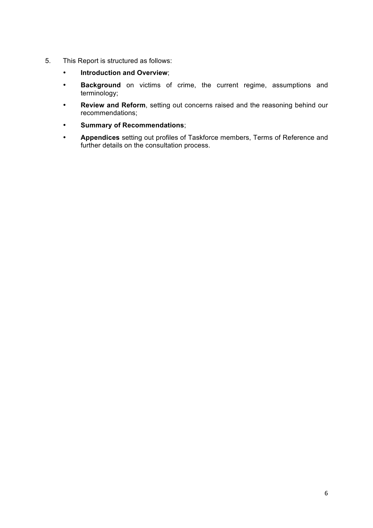- 5. This Report is structured as follows:
	- **Introduction and Overview**;
	- **Background** on victims of crime, the current regime, assumptions and terminology;
	- **Review and Reform**, setting out concerns raised and the reasoning behind our recommendations;
	- **Summary of Recommendations**;
	- **Appendices** setting out profiles of Taskforce members, Terms of Reference and further details on the consultation process.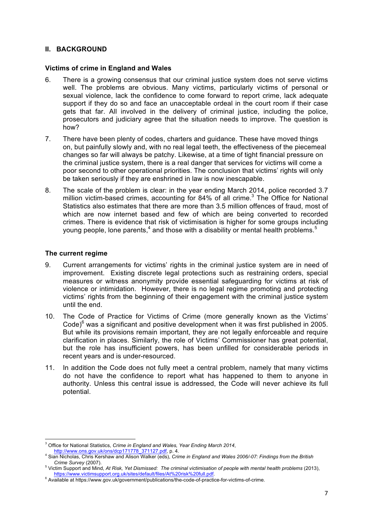# **II. BACKGROUND**

#### **Victims of crime in England and Wales**

- 6. There is a growing consensus that our criminal justice system does not serve victims well. The problems are obvious. Many victims, particularly victims of personal or sexual violence, lack the confidence to come forward to report crime, lack adequate support if they do so and face an unacceptable ordeal in the court room if their case gets that far. All involved in the delivery of criminal justice, including the police, prosecutors and judiciary agree that the situation needs to improve. The question is how?
- 7. There have been plenty of codes, charters and guidance. These have moved things on, but painfully slowly and, with no real legal teeth, the effectiveness of the piecemeal changes so far will always be patchy. Likewise, at a time of tight financial pressure on the criminal justice system, there is a real danger that services for victims will come a poor second to other operational priorities. The conclusion that victims' rights will only be taken seriously if they are enshrined in law is now inescapable.
- 8. The scale of the problem is clear: in the year ending March 2014, police recorded 3.7 million victim-based crimes, accounting for 84% of all crime.<sup>3</sup> The Office for National Statistics also estimates that there are more than 3.5 million offences of fraud, most of which are now internet based and few of which are being converted to recorded crimes. There is evidence that risk of victimisation is higher for some groups including young people, lone parents,<sup>4</sup> and those with a disability or mental health problems.<sup>5</sup>

# **The current regime**

- 9. Current arrangements for victims' rights in the criminal justice system are in need of improvement. Existing discrete legal protections such as restraining orders, special measures or witness anonymity provide essential safeguarding for victims at risk of violence or intimidation. However, there is no legal regime promoting and protecting victims' rights from the beginning of their engagement with the criminal justice system until the end.
- 10. The Code of Practice for Victims of Crime (more generally known as the Victims' Code) $6$  was a significant and positive development when it was first published in 2005. But while its provisions remain important, they are not legally enforceable and require clarification in places. Similarly, the role of Victims' Commissioner has great potential, but the role has insufficient powers, has been unfilled for considerable periods in recent years and is under-resourced.
- 11. In addition the Code does not fully meet a central problem, namely that many victims do not have the confidence to report what has happened to them to anyone in authority. Unless this central issue is addressed, the Code will never achieve its full potential.

<sup>&</sup>lt;u> 1989 - Jan Samuel Barbara, margaret e</u> <sup>3</sup> Office for National Statistics, *Crime in England and Wales, Year Ending March 2014*, http://www.ons.gov.uk/ons/dcp171778 371127.pdf, p. 4.

http://www.ons.gov.uk/ons.gov.uk/ons/dcpt/271717792.pdf, p. 4. 4 Sian Nicholas, Chris Kershaw and Alison Walker (eds), *Crime in England and Wales 2006/-07: Findings from the British Crime Survey (2007).* 

<sup>&</sup>lt;sup>5</sup> Victim Support and Mind, *At Risk, Yet Dismissed: The criminal victimisation of people with mental health problems (2013),* https://www.victimsupport.org.uk/sites/default/files/At%20risk%20full.pdf. <sup>6</sup> Available at https://www.gov.uk/government/publications/the-code-of-practice-for-victims-of-crime.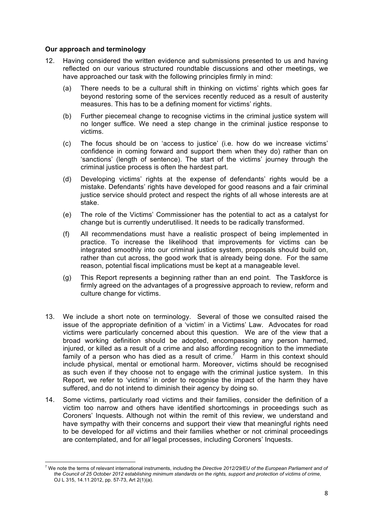# **Our approach and terminology**

<u> 1989 - Jan Samuel Barbara, margaret e</u>

- 12. Having considered the written evidence and submissions presented to us and having reflected on our various structured roundtable discussions and other meetings, we have approached our task with the following principles firmly in mind:
	- (a) There needs to be a cultural shift in thinking on victims' rights which goes far beyond restoring some of the services recently reduced as a result of austerity measures. This has to be a defining moment for victims' rights.
	- (b) Further piecemeal change to recognise victims in the criminal justice system will no longer suffice. We need a step change in the criminal justice response to victims.
	- (c) The focus should be on 'access to justice' (i.e. how do we increase victims' confidence in coming forward and support them when they do) rather than on 'sanctions' (length of sentence). The start of the victims' journey through the criminal justice process is often the hardest part.
	- (d) Developing victims' rights at the expense of defendants' rights would be a mistake. Defendants' rights have developed for good reasons and a fair criminal justice service should protect and respect the rights of all whose interests are at stake.
	- (e) The role of the Victims' Commissioner has the potential to act as a catalyst for change but is currently underutilised. It needs to be radically transformed.
	- (f) All recommendations must have a realistic prospect of being implemented in practice. To increase the likelihood that improvements for victims can be integrated smoothly into our criminal justice system, proposals should build on, rather than cut across, the good work that is already being done. For the same reason, potential fiscal implications must be kept at a manageable level.
	- (g) This Report represents a beginning rather than an end point. The Taskforce is firmly agreed on the advantages of a progressive approach to review, reform and culture change for victims.
- 13. We include a short note on terminology. Several of those we consulted raised the issue of the appropriate definition of a 'victim' in a Victims' Law. Advocates for road victims were particularly concerned about this question. We are of the view that a broad working definition should be adopted, encompassing any person harmed, injured, or killed as a result of a crime and also affording recognition to the immediate family of a person who has died as a result of crime.<sup>7</sup> Harm in this context should include physical, mental or emotional harm. Moreover, victims should be recognised as such even if they choose not to engage with the criminal justice system. In this Report, we refer to 'victims' in order to recognise the impact of the harm they have suffered, and do not intend to diminish their agency by doing so.
- 14. Some victims, particularly road victims and their families, consider the definition of a victim too narrow and others have identified shortcomings in proceedings such as Coroners' Inquests. Although not within the remit of this review, we understand and have sympathy with their concerns and support their view that meaningful rights need to be developed for *all* victims and their families whether or not criminal proceedings are contemplated, and for *all* legal processes, including Coroners' Inquests.

<sup>7</sup> We note the terms of relevant international instruments, including the *Directive 2012/29/EU of the European Parliament and of the Council of 25 October 2012 establishing minimum standards on the rights, support and protection of victims of crime*, OJ L 315, 14.11.2012, pp. 57-73, Art 2(1)(a).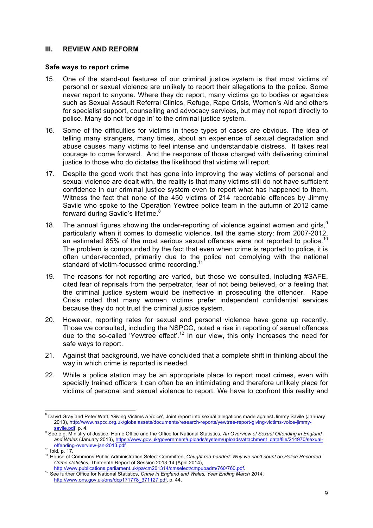#### **III. REVIEW AND REFORM**

#### **Safe ways to report crime**

- 15. One of the stand-out features of our criminal justice system is that most victims of personal or sexual violence are unlikely to report their allegations to the police. Some never report to anyone. Where they do report, many victims go to bodies or agencies such as Sexual Assault Referral Clinics, Refuge, Rape Crisis, Women's Aid and others for specialist support, counselling and advocacy services, but may not report directly to police. Many do not 'bridge in' to the criminal justice system.
- 16. Some of the difficulties for victims in these types of cases are obvious. The idea of telling many strangers, many times, about an experience of sexual degradation and abuse causes many victims to feel intense and understandable distress. It takes real courage to come forward. And the response of those charged with delivering criminal justice to those who do dictates the likelihood that victims will report.
- 17. Despite the good work that has gone into improving the way victims of personal and sexual violence are dealt with, the reality is that many victims still do not have sufficient confidence in our criminal justice system even to report what has happened to them. Witness the fact that none of the 450 victims of 214 recordable offences by Jimmy Savile who spoke to the Operation Yewtree police team in the autumn of 2012 came forward during Savile's lifetime.<sup>8</sup>
- 18. The annual figures showing the under-reporting of violence against women and girls,  $9$ particularly when it comes to domestic violence, tell the same story: from 2007-2012, an estimated 85% of the most serious sexual offences were not reported to police.<sup>10</sup> The problem is compounded by the fact that even when crime is reported to police, it is often under-recorded, primarily due to the police not complying with the national standard of victim-focussed crime recording.
- 19. The reasons for not reporting are varied, but those we consulted, including #SAFE, cited fear of reprisals from the perpetrator, fear of not being believed, or a feeling that the criminal justice system would be ineffective in prosecuting the offender. Rape Crisis noted that many women victims prefer independent confidential services because they do not trust the criminal justice system.
- 20. However, reporting rates for sexual and personal violence have gone up recently. Those we consulted, including the NSPCC, noted a rise in reporting of sexual offences due to the so-called 'Yewtree effect'.<sup>12</sup> In our view, this only increases the need for safe ways to report.
- 21. Against that background, we have concluded that a complete shift in thinking about the way in which crime is reported is needed.
- 22. While a police station may be an appropriate place to report most crimes, even with specially trained officers it can often be an intimidating and therefore unlikely place for victims of personal and sexual violence to report. We have to confront this reality and

<sup>&</sup>lt;u> 1989 - Jan Samuel Barbara, margaret e</u> <sup>8</sup> David Gray and Peter Watt, 'Giving Victims a Voice', Joint report into sexual allegations made against Jimmy Savile (January 2013), http://www.nspcc.org.uk/globalassets/documents/research-reports/yewtree-report-giving-victims-voice-jimmy-<br>savile.pdf, p. 4.

<sup>&</sup>lt;sup>9</sup> See e.g. Ministry of Justice, Home Office and the Office for National Statistics, An Overview of Sexual Offending in England *and Wales* (January 2013), https://www.gov.uk/government/uploads/system/uploads/attachment\_data/file/214970/sexual-

offending-overview-jan-2013.pdf<br><sup>10</sup> Ibid, p. 17.<br><sup>11</sup> House of Commons Public Administration Select Committee, *Caught red-handed: Why we can't count on Police Recorded Crime statistics*, Thirteenth Report of Session 2013-14 (April 2014),

http://www.publications.parliament.uk/pa/cm201314/cmselect/cmpubadm/760/760.pdf. <sup>12</sup> See further Office for National Statistics, *Crime in England and Wales, Year Ending March 2014*,

http://www.ons.gov.uk/ons/dcp171778\_371127.pdf, p. 44.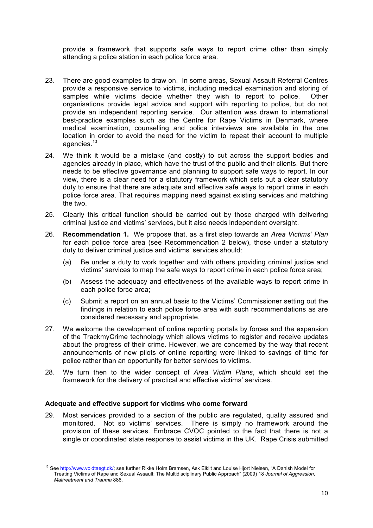provide a framework that supports safe ways to report crime other than simply attending a police station in each police force area.

- 23. There are good examples to draw on. In some areas, Sexual Assault Referral Centres provide a responsive service to victims, including medical examination and storing of samples while victims decide whether they wish to report to police. Other organisations provide legal advice and support with reporting to police, but do not provide an independent reporting service. Our attention was drawn to international best-practice examples such as the Centre for Rape Victims in Denmark, where medical examination, counselling and police interviews are available in the one location in order to avoid the need for the victim to repeat their account to multiple agencies.13
- 24. We think it would be a mistake (and costly) to cut across the support bodies and agencies already in place, which have the trust of the public and their clients. But there needs to be effective governance and planning to support safe ways to report. In our view, there is a clear need for a statutory framework which sets out a clear statutory duty to ensure that there are adequate and effective safe ways to report crime in each police force area. That requires mapping need against existing services and matching the two.
- 25. Clearly this critical function should be carried out by those charged with delivering criminal justice and victims' services, but it also needs independent oversight.
- 26. **Recommendation 1.** We propose that, as a first step towards an *Area Victims' Plan* for each police force area (see Recommendation 2 below), those under a statutory duty to deliver criminal justice and victims' services should:
	- (a) Be under a duty to work together and with others providing criminal justice and victims' services to map the safe ways to report crime in each police force area;
	- (b) Assess the adequacy and effectiveness of the available ways to report crime in each police force area;
	- (c) Submit a report on an annual basis to the Victims' Commissioner setting out the findings in relation to each police force area with such recommendations as are considered necessary and appropriate.
- 27. We welcome the development of online reporting portals by forces and the expansion of the TrackmyCrime technology which allows victims to register and receive updates about the progress of their crime. However, we are concerned by the way that recent announcements of new pilots of online reporting were linked to savings of time for police rather than an opportunity for better services to victims.
- 28. We turn then to the wider concept of *Area Victim Plans*, which should set the framework for the delivery of practical and effective victims' services.

# **Adequate and effective support for victims who come forward**

29. Most services provided to a section of the public are regulated, quality assured and monitored. Not so victims' services. There is simply no framework around the provision of these services. Embrace CVOC pointed to the fact that there is not a single or coordinated state response to assist victims in the UK. Rape Crisis submitted

<sup>&</sup>lt;u> 1989 - Jan Samuel Barbara, margaret e</u> <sup>13</sup> See http://www.voldtaegt.dk/; see further Rikke Holm Bramsen, Ask Elklit and Louise Hjort Nielsen, "A Danish Model for Treating Victims of Rape and Sexual Assault: The Multidisciplinary Public Approach" (2009) 18 *Journal of Aggression, Maltreatment and Trauma* 886.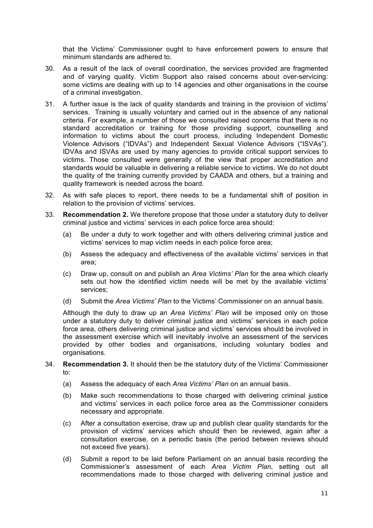that the Victims' Commissioner ought to have enforcement powers to ensure that minimum standards are adhered to.

- 30. As a result of the lack of overall coordination, the services provided are fragmented and of varying quality. Victim Support also raised concerns about over-servicing: some victims are dealing with up to 14 agencies and other organisations in the course of a criminal investigation.
- 31. A further issue is the lack of quality standards and training in the provision of victims' services. Training is usually voluntary and carried out in the absence of any national criteria. For example, a number of those we consulted raised concerns that there is no standard accreditation or training for those providing support, counselling and information to victims about the court process, including Independent Domestic Violence Advisors ("IDVAs") and Independent Sexual Violence Advisors ("ISVAs"). IDVAs and ISVAs are used by many agencies to provide critical support services to victims. Those consulted were generally of the view that proper accreditation and standards would be valuable in delivering a reliable service to victims. We do not doubt the quality of the training currently provided by CAADA and others, but a training and quality framework is needed across the board.
- 32. As with safe places to report, there needs to be a fundamental shift of position in relation to the provision of victims' services.
- 33. **Recommendation 2.** We therefore propose that those under a statutory duty to deliver criminal justice and victims' services in each police force area should:
	- (a) Be under a duty to work together and with others delivering criminal justice and victims' services to map victim needs in each police force area;
	- (b) Assess the adequacy and effectiveness of the available victims' services in that area;
	- (c) Draw up, consult on and publish an *Area Victims' Plan* for the area which clearly sets out how the identified victim needs will be met by the available victims' services;
	- (d) Submit the *Area Victims' Plan* to the Victims' Commissioner on an annual basis.

Although the duty to draw up an *Area Victims' Plan* will be imposed only on those under a statutory duty to deliver criminal justice and victims' services in each police force area, others delivering criminal justice and victims' services should be involved in the assessment exercise which will inevitably involve an assessment of the services provided by other bodies and organisations, including voluntary bodies and organisations.

#### 34. **Recommendation 3.** It should then be the statutory duty of the Victims' Commissioner to:

- (a) Assess the adequacy of each *Area Victims' Plan* on an annual basis.
- (b) Make such recommendations to those charged with delivering criminal justice and victims' services in each police force area as the Commissioner considers necessary and appropriate.
- (c) After a consultation exercise, draw up and publish clear quality standards for the provision of victims' services which should then be reviewed, again after a consultation exercise, on a periodic basis (the period between reviews should not exceed five years).
- (d) Submit a report to be laid before Parliament on an annual basis recording the Commissioner's assessment of each *Area Victim Plan*, setting out all recommendations made to those charged with delivering criminal justice and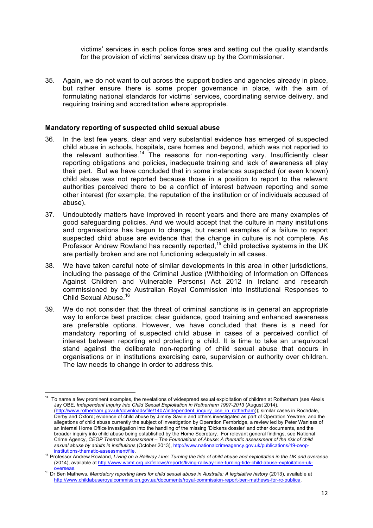victims' services in each police force area and setting out the quality standards for the provision of victims' services draw up by the Commissioner.

35. Again, we do not want to cut across the support bodies and agencies already in place, but rather ensure there is some proper governance in place, with the aim of formulating national standards for victims' services, coordinating service delivery, and requiring training and accreditation where appropriate.

#### **Mandatory reporting of suspected child sexual abuse**

- 36. In the last few years, clear and very substantial evidence has emerged of suspected child abuse in schools, hospitals, care homes and beyond, which was not reported to the relevant authorities.<sup>14</sup> The reasons for non-reporting vary. Insufficiently clear reporting obligations and policies, inadequate training and lack of awareness all play their part. But we have concluded that in some instances suspected (or even known) child abuse was not reported because those in a position to report to the relevant authorities perceived there to be a conflict of interest between reporting and some other interest (for example, the reputation of the institution or of individuals accused of abuse).
- 37. Undoubtedly matters have improved in recent years and there are many examples of good safeguarding policies. And we would accept that the culture in many institutions and organisations has begun to change, but recent examples of a failure to report suspected child abuse are evidence that the change in culture is not complete. As Professor Andrew Rowland has recently reported,<sup>15</sup> child protective systems in the UK are partially broken and are not functioning adequately in all cases.
- 38. We have taken careful note of similar developments in this area in other jurisdictions, including the passage of the Criminal Justice (Withholding of Information on Offences Against Children and Vulnerable Persons) Act 2012 in Ireland and research commissioned by the Australian Royal Commission into Institutional Responses to Child Sexual Abuse.<sup>16</sup>
- 39. We do not consider that the threat of criminal sanctions is in general an appropriate way to enforce best practice; clear guidance, good training and enhanced awareness are preferable options. However, we have concluded that there is a need for mandatory reporting of suspected child abuse in cases of a perceived conflict of interest between reporting and protecting a child. It is time to take an unequivocal stand against the deliberate non-reporting of child sexual abuse that occurs in organisations or in institutions exercising care, supervision or authority over children. The law needs to change in order to address this.

<sup>&</sup>lt;u> 1989 - Jan Samuel Barbara, margaret e</u> 14 To name a few prominent examples, the revelations of widespread sexual exploitation of children at Rotherham (see Alexis Jay OBE, *Independent Inquiry into Child Sexual Exploitation in Rotherham 1997-2013* (August 2014), (http://www.rotherham.gov.uk/downloads/file/1407/independent\_inquiry\_cse\_in\_rotherham)); similar cases in Rochdale, Derby and Oxford; evidence of child abuse by Jimmy Savile and others investigated as part of Operation Yewtree; and the allegations of child abuse currently the subject of investigation by Operation Fernbridge, a review led by Peter Wanless of an internal Home Office investigation into the handling of the missing 'Dickens dossier' and other documents, and the broader inquiry into child abuse being established by the Home Secretary. For relevant general findings, see National Crime Agency, *CEOP Thematic Assessment – The Foundations of Abuse: A thematic assessment of the risk of child sexual abuse by adults in institutions* (October 2013), http://www.nationalcrimeagency.gov.uk/publications/49-ceop-

<sup>&</sup>lt;sup>15</sup> Professor Andrew Rowland, *Living on a Railway Line: Turning the tide of child abuse and exploitation in the UK and overseas* (2014), available at http://www.wcmt.org.uk/fellows/reports/living-railway-line-turning-tide-child-abuse-exploitation-uk-

overseas. <sup>16</sup> Dr Ben Mathews, *Mandatory reporting laws for child sexual abuse in Australia: A legislative history* (2013), available at http://www.childabuseroyalcommission.gov.au/documents/royal-commission-report-ben-mathews-for-rc-publica.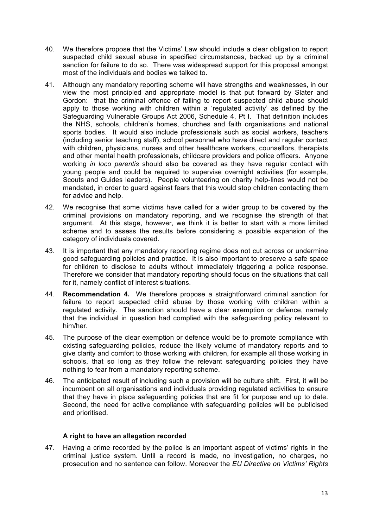- 40. We therefore propose that the Victims' Law should include a clear obligation to report suspected child sexual abuse in specified circumstances, backed up by a criminal sanction for failure to do so. There was widespread support for this proposal amongst most of the individuals and bodies we talked to.
- 41. Although any mandatory reporting scheme will have strengths and weaknesses, in our view the most principled and appropriate model is that put forward by Slater and Gordon: that the criminal offence of failing to report suspected child abuse should apply to those working with children within a 'regulated activity' as defined by the Safeguarding Vulnerable Groups Act 2006, Schedule 4, Pt I. That definition includes the NHS, schools, children's homes, churches and faith organisations and national sports bodies. It would also include professionals such as social workers, teachers (including senior teaching staff), school personnel who have direct and regular contact with children, physicians, nurses and other healthcare workers, counsellors, therapists and other mental health professionals, childcare providers and police officers. Anyone working *in loco parentis* should also be covered as they have regular contact with young people and could be required to supervise overnight activities (for example, Scouts and Guides leaders). People volunteering on charity help-lines would not be mandated, in order to guard against fears that this would stop children contacting them for advice and help.
- 42. We recognise that some victims have called for a wider group to be covered by the criminal provisions on mandatory reporting, and we recognise the strength of that argument. At this stage, however, we think it is better to start with a more limited scheme and to assess the results before considering a possible expansion of the category of individuals covered.
- 43. It is important that any mandatory reporting regime does not cut across or undermine good safeguarding policies and practice. It is also important to preserve a safe space for children to disclose to adults without immediately triggering a police response. Therefore we consider that mandatory reporting should focus on the situations that call for it, namely conflict of interest situations.
- 44. **Recommendation 4.** We therefore propose a straightforward criminal sanction for failure to report suspected child abuse by those working with children within a regulated activity. The sanction should have a clear exemption or defence, namely that the individual in question had complied with the safeguarding policy relevant to him/her.
- 45. The purpose of the clear exemption or defence would be to promote compliance with existing safeguarding policies, reduce the likely volume of mandatory reports and to give clarity and comfort to those working with children, for example all those working in schools, that so long as they follow the relevant safeguarding policies they have nothing to fear from a mandatory reporting scheme.
- 46. The anticipated result of including such a provision will be culture shift. First, it will be incumbent on all organisations and individuals providing regulated activities to ensure that they have in place safeguarding policies that are fit for purpose and up to date. Second, the need for active compliance with safeguarding policies will be publicised and prioritised.

# **A right to have an allegation recorded**

47. Having a crime recorded by the police is an important aspect of victims' rights in the criminal justice system. Until a record is made, no investigation, no charges, no prosecution and no sentence can follow. Moreover the *EU Directive on Victims' Rights*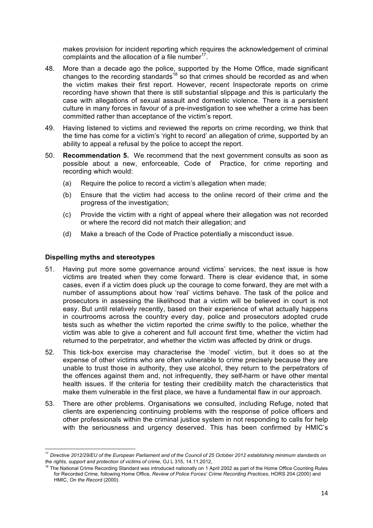makes provision for incident reporting which requires the acknowledgement of criminal complaints and the allocation of a file number $^{17}$ .

- 48. More than a decade ago the police, supported by the Home Office, made significant changes to the recording standards<sup>18</sup> so that crimes should be recorded as and when the victim makes their first report. However, recent Inspectorate reports on crime recording have shown that there is still substantial slippage and this is particularly the case with allegations of sexual assault and domestic violence. There is a persistent culture in many forces in favour of a pre-investigation to see whether a crime has been committed rather than acceptance of the victim's report.
- 49. Having listened to victims and reviewed the reports on crime recording, we think that the time has come for a victim's 'right to record' an allegation of crime, supported by an ability to appeal a refusal by the police to accept the report.
- 50. **Recommendation 5.** We recommend that the next government consults as soon as possible about a new, enforceable, Code of Practice, for crime reporting and recording which would:
	- (a) Require the police to record a victim's allegation when made;
	- (b) Ensure that the victim had access to the online record of their crime and the progress of the investigation;
	- (c) Provide the victim with a right of appeal where their allegation was not recorded or where the record did not match their allegation; and
	- (d) Make a breach of the Code of Practice potentially a misconduct issue.

#### **Dispelling myths and stereotypes**

<u> 1989 - Jan Samuel Barbara, margaret e</u>

- 51. Having put more some governance around victims' services, the next issue is how victims are treated when they come forward. There is clear evidence that, in some cases, even if a victim does pluck up the courage to come forward, they are met with a number of assumptions about how 'real' victims behave. The task of the police and prosecutors in assessing the likelihood that a victim will be believed in court is not easy. But until relatively recently, based on their experience of what actually happens in courtrooms across the country every day, police and prosecutors adopted crude tests such as whether the victim reported the crime swiftly to the police, whether the victim was able to give a coherent and full account first time, whether the victim had returned to the perpetrator, and whether the victim was affected by drink or drugs.
- 52. This tick-box exercise may characterise the 'model' victim, but it does so at the expense of other victims who are often vulnerable to crime precisely because they are unable to trust those in authority, they use alcohol, they return to the perpetrators of the offences against them and, not infrequently, they self-harm or have other mental health issues. If the criteria for testing their credibility match the characteristics that make them vulnerable in the first place, we have a fundamental flaw in our approach.
- 53. There are other problems. Organisations we consulted, including Refuge, noted that clients are experiencing continuing problems with the response of police officers and other professionals within the criminal justice system in not responding to calls for help with the seriousness and urgency deserved. This has been confirmed by HMIC's

<sup>17</sup> *Directive 2012/29/EU of the European Parliament and of the Council of 25 October 2012 establishing minimum standards on the rights, support and protection of victims of crime*, OJ L 315, 14.11.2012,

<sup>&</sup>lt;sup>18</sup> The National Crime Recording Standard was introduced nationally on 1 April 2002 as part of the Home Office Counting Rules for Recorded Crime, following Home Office, *Review of Police Forces' Crime Recording Practices*, HORS 204 (2000) and HMIC, *On the Record* (2000).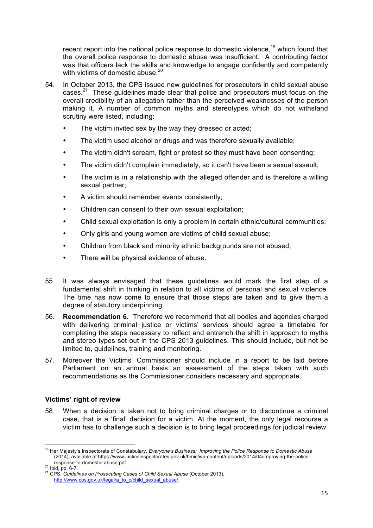recent report into the national police response to domestic violence,<sup>19</sup> which found that the overall police response to domestic abuse was insufficient. A contributing factor was that officers lack the skills and knowledge to engage confidently and competently with victims of domestic abuse.<sup>20</sup>

- 54. In October 2013, the CPS issued new guidelines for prosecutors in child sexual abuse cases.<sup>21</sup> These guidelines made clear that police and prosecutors must focus on the overall credibility of an allegation rather than the perceived weaknesses of the person making it. A number of common myths and stereotypes which do not withstand scrutiny were listed, including:
	- The victim invited sex by the way they dressed or acted;
	- The victim used alcohol or drugs and was therefore sexually available;
	- The victim didn't scream, fight or protest so they must have been consenting;
	- The victim didn't complain immediately, so it can't have been a sexual assault;
	- The victim is in a relationship with the alleged offender and is therefore a willing sexual partner;
	- A victim should remember events consistently;
	- Children can consent to their own sexual exploitation;
	- Child sexual exploitation is only a problem in certain ethnic/cultural communities;
	- Only girls and young women are victims of child sexual abuse;
	- Children from black and minority ethnic backgrounds are not abused;
	- There will be physical evidence of abuse.
- 55. It was always envisaged that these guidelines would mark the first step of a fundamental shift in thinking in relation to all victims of personal and sexual violence. The time has now come to ensure that those steps are taken and to give them a degree of statutory underpinning.
- 56. **Recommendation 6.** Therefore we recommend that all bodies and agencies charged with delivering criminal justice or victims' services should agree a timetable for completing the steps necessary to reflect and entrench the shift in approach to myths and stereo types set out in the CPS 2013 guidelines. This should include, but not be limited to, guidelines, training and monitoring.
- 57. Moreover the Victims' Commissioner should include in a report to be laid before Parliament on an annual basis an assessment of the steps taken with such recommendations as the Commissioner considers necessary and appropriate.

# **Victims' right of review**

58. When a decision is taken not to bring criminal charges or to discontinue a criminal case, that is a 'final' decision for a victim. At the moment, the only legal recourse a victim has to challenge such a decision is to bring legal proceedings for judicial review.

<sup>&</sup>lt;u> 1989 - Jan Samuel Barbara, margaret e</u> <sup>19</sup> Her Majesty's Inspectorate of Constabulary, *Everyone's Business: Improving the Police Response to Domestic Abuse* (2014), available at https://www.justiceinspectorates.gov.uk/hmic/wp-content/uploads/2014/04/improving-the-police-

response-to-domestic-abuse.pdf. <sup>20</sup> Ibid, pp. 6-7. <sup>21</sup> CPS, *Guidelines on Prosecuting Cases of Child Sexual Abuse* (October 2013), http://www.cps.gov.uk/legal/a\_to\_c/child\_sexual\_abuse/.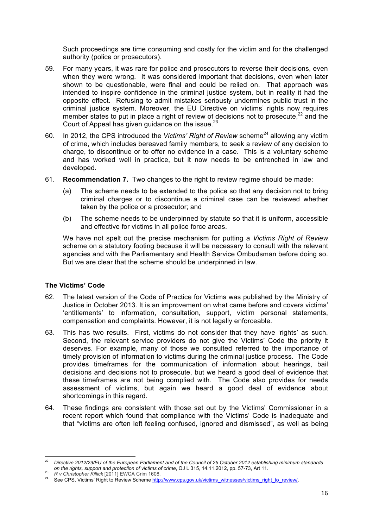Such proceedings are time consuming and costly for the victim and for the challenged authority (police or prosecutors).

- 59. For many years, it was rare for police and prosecutors to reverse their decisions, even when they were wrong. It was considered important that decisions, even when later shown to be questionable, were final and could be relied on. That approach was intended to inspire confidence in the criminal justice system, but in reality it had the opposite effect. Refusing to admit mistakes seriously undermines public trust in the criminal justice system. Moreover, the EU Directive on victims' rights now requires member states to put in place a right of review of decisions not to prosecute, $22$  and the Court of Appeal has given guidance on the issue.<sup>23</sup>
- 60. In 2012, the CPS introduced the *Victims' Right of Review* scheme<sup>24</sup> allowing any victim of crime, which includes bereaved family members, to seek a review of any decision to charge, to discontinue or to offer no evidence in a case. This is a voluntary scheme and has worked well in practice, but it now needs to be entrenched in law and developed.
- 61. **Recommendation 7.** Two changes to the right to review regime should be made:
	- (a) The scheme needs to be extended to the police so that any decision not to bring criminal charges or to discontinue a criminal case can be reviewed whether taken by the police or a prosecutor; and
	- (b) The scheme needs to be underpinned by statute so that it is uniform, accessible and effective for victims in all police force areas.

We have not spelt out the precise mechanism for putting a *Victims Right of Review* scheme on a statutory footing because it will be necessary to consult with the relevant agencies and with the Parliamentary and Health Service Ombudsman before doing so. But we are clear that the scheme should be underpinned in law.

# **The Victims' Code**

- 62. The latest version of the Code of Practice for Victims was published by the Ministry of Justice in October 2013. It is an improvement on what came before and covers victims' 'entitlements' to information, consultation, support, victim personal statements, compensation and complaints. However, it is not legally enforceable.
- 63. This has two results. First, victims do not consider that they have 'rights' as such. Second, the relevant service providers do not give the Victims' Code the priority it deserves. For example, many of those we consulted referred to the importance of timely provision of information to victims during the criminal justice process. The Code provides timeframes for the communication of information about hearings, bail decisions and decisions not to prosecute, but we heard a good deal of evidence that these timeframes are not being complied with. The Code also provides for needs assessment of victims, but again we heard a good deal of evidence about shortcomings in this regard.
- 64. These findings are consistent with those set out by the Victims' Commissioner in a recent report which found that compliance with the Victims' Code is inadequate and that "victims are often left feeling confused, ignored and dismissed", as well as being

<u> 1989 - Jan Samuel Barbara, margaret e</u>

<sup>22</sup> *Directive 2012/29/EU of the European Parliament and of the Council of 25 October 2012 establishing minimum standards*  on the rights, support and protection of victims of crime, OJ L 315, 14.11.2012, pp. 57-73, Art 11.<br><sup>23</sup> R v Christopher Killick [2011] EWCA Crim 1608.<br><sup>24</sup> See CPS, Victims' Right to Review Scheme http://www.cps.gov.uk/vi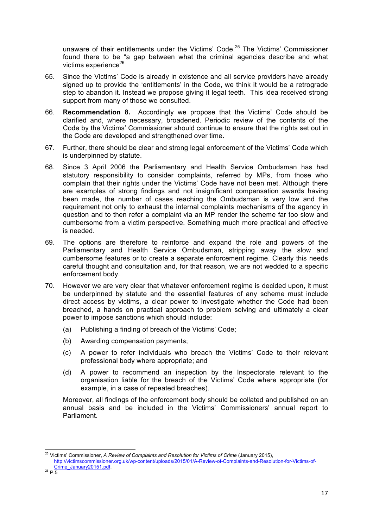unaware of their entitlements under the Victims' Code.<sup>25</sup> The Victims' Commissioner found there to be "a gap between what the criminal agencies describe and what victims experience $^{26}$ 

- 65. Since the Victims' Code is already in existence and all service providers have already signed up to provide the 'entitlements' in the Code, we think it would be a retrograde step to abandon it. Instead we propose giving it legal teeth. This idea received strong support from many of those we consulted.
- 66. **Recommendation 8.** Accordingly we propose that the Victims' Code should be clarified and, where necessary, broadened. Periodic review of the contents of the Code by the Victims' Commissioner should continue to ensure that the rights set out in the Code are developed and strengthened over time.
- 67. Further, there should be clear and strong legal enforcement of the Victims' Code which is underpinned by statute.
- 68. Since 3 April 2006 the Parliamentary and Health Service Ombudsman has had statutory responsibility to consider complaints, referred by MPs, from those who complain that their rights under the Victims' Code have not been met. Although there are examples of strong findings and not insignificant compensation awards having been made, the number of cases reaching the Ombudsman is very low and the requirement not only to exhaust the internal complaints mechanisms of the agency in question and to then refer a complaint via an MP render the scheme far too slow and cumbersome from a victim perspective. Something much more practical and effective is needed.
- 69. The options are therefore to reinforce and expand the role and powers of the Parliamentary and Health Service Ombudsman, stripping away the slow and cumbersome features or to create a separate enforcement regime. Clearly this needs careful thought and consultation and, for that reason, we are not wedded to a specific enforcement body.
- 70. However we are very clear that whatever enforcement regime is decided upon, it must be underpinned by statute and the essential features of any scheme must include direct access by victims, a clear power to investigate whether the Code had been breached, a hands on practical approach to problem solving and ultimately a clear power to impose sanctions which should include:
	- (a) Publishing a finding of breach of the Victims' Code;
	- (b) Awarding compensation payments;
	- (c) A power to refer individuals who breach the Victims' Code to their relevant professional body where appropriate; and
	- (d) A power to recommend an inspection by the Inspectorate relevant to the organisation liable for the breach of the Victims' Code where appropriate (for example, in a case of repeated breaches).

Moreover, all findings of the enforcement body should be collated and published on an annual basis and be included in the Victims' Commissioners' annual report to Parliament.

<sup>&</sup>lt;u> 1989 - Jan Samuel Barbara, margaret e</u> <sup>25</sup> Victims' Commissioner, *A Review of Complaints and Resolution for Victims of Crime* (January 2015),

http://victimscommissioner.org.uk/wp-content/uploads/2015/01/A-Review-of-Complaints-and-Resolution-for-Victims-of- $\frac{\text{Crime}_{26}}{\text{D} \cdot \text{S}}$  P.5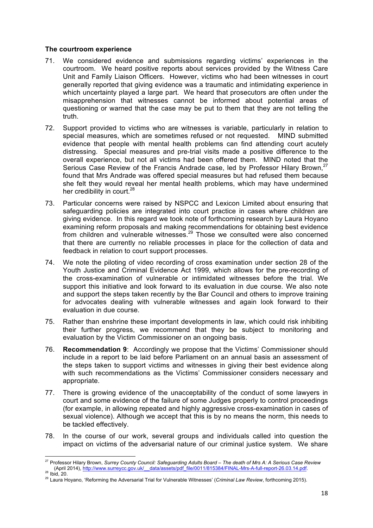#### **The courtroom experience**

<u> 1989 - Jan Samuel Barbara, margaret e</u>

- 71. We considered evidence and submissions regarding victims' experiences in the courtroom. We heard positive reports about services provided by the Witness Care Unit and Family Liaison Officers. However, victims who had been witnesses in court generally reported that giving evidence was a traumatic and intimidating experience in which uncertainty played a large part. We heard that prosecutors are often under the misapprehension that witnesses cannot be informed about potential areas of questioning or warned that the case may be put to them that they are not telling the truth.
- 72. Support provided to victims who are witnesses is variable, particularly in relation to special measures, which are sometimes refused or not requested. MIND submitted evidence that people with mental health problems can find attending court acutely distressing. Special measures and pre-trial visits made a positive difference to the overall experience, but not all victims had been offered them. MIND noted that the Serious Case Review of the Francis Andrade case, led by Professor Hilary Brown.<sup>27</sup> found that Mrs Andrade was offered special measures but had refused them because she felt they would reveal her mental health problems, which may have undermined her credibility in court.<sup>28</sup>
- 73. Particular concerns were raised by NSPCC and Lexicon Limited about ensuring that safeguarding policies are integrated into court practice in cases where children are giving evidence. In this regard we took note of forthcoming research by Laura Hoyano examining reform proposals and making recommendations for obtaining best evidence from children and vulnerable witnesses. $29$  Those we consulted were also concerned that there are currently no reliable processes in place for the collection of data and feedback in relation to court support processes.
- 74. We note the piloting of video recording of cross examination under section 28 of the Youth Justice and Criminal Evidence Act 1999, which allows for the pre-recording of the cross-examination of vulnerable or intimidated witnesses before the trial. We support this initiative and look forward to its evaluation in due course. We also note and support the steps taken recently by the Bar Council and others to improve training for advocates dealing with vulnerable witnesses and again look forward to their evaluation in due course.
- 75. Rather than enshrine these important developments in law, which could risk inhibiting their further progress, we recommend that they be subject to monitoring and evaluation by the Victim Commissioner on an ongoing basis.
- 76. **Recommendation 9**: Accordingly we propose that the Victims' Commissioner should include in a report to be laid before Parliament on an annual basis an assessment of the steps taken to support victims and witnesses in giving their best evidence along with such recommendations as the Victims' Commissioner considers necessary and appropriate.
- 77. There is growing evidence of the unacceptability of the conduct of some lawyers in court and some evidence of the failure of some Judges properly to control proceedings (for example, in allowing repeated and highly aggressive cross-examination in cases of sexual violence). Although we accept that this is by no means the norm, this needs to be tackled effectively.
- 78. In the course of our work, several groups and individuals called into question the impact on victims of the adversarial nature of our criminal justice system. We share

<sup>27</sup> Professor Hilary Brown, *Surrey County Council: Safeguarding Adults Board – The death of Mrs A: A Serious Case Review* 28 Ibid, 20.<br>
29 Laura Hoyano, 'Reforming the Adversarial Trial for Vulnerable Witnesses' (Criminal Law Review, forthcoming 2015).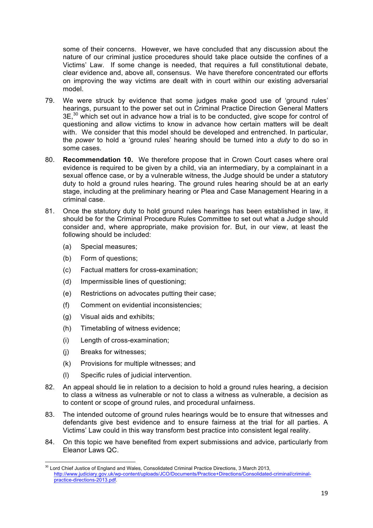some of their concerns. However, we have concluded that any discussion about the nature of our criminal justice procedures should take place outside the confines of a Victims' Law. If some change is needed, that requires a full constitutional debate, clear evidence and, above all, consensus. We have therefore concentrated our efforts on improving the way victims are dealt with in court within our existing adversarial model.

- 79. We were struck by evidence that some judges make good use of 'ground rules' hearings, pursuant to the power set out in Criminal Practice Direction General Matters  $3E<sub>1</sub><sup>30</sup>$  which set out in advance how a trial is to be conducted, give scope for control of questioning and allow victims to know in advance how certain matters will be dealt with. We consider that this model should be developed and entrenched. In particular, the *power* to hold a 'ground rules' hearing should be turned into a *duty* to do so in some cases.
- 80. **Recommendation 10.** We therefore propose that in Crown Court cases where oral evidence is required to be given by a child, via an intermediary, by a complainant in a sexual offence case, or by a vulnerable witness, the Judge should be under a statutory duty to hold a ground rules hearing. The ground rules hearing should be at an early stage, including at the preliminary hearing or Plea and Case Management Hearing in a criminal case.
- 81. Once the statutory duty to hold ground rules hearings has been established in law, it should be for the Criminal Procedure Rules Committee to set out what a Judge should consider and, where appropriate, make provision for. But, in our view, at least the following should be included:
	- (a) Special measures;
	- (b) Form of questions;
	- (c) Factual matters for cross-examination;
	- (d) Impermissible lines of questioning;
	- (e) Restrictions on advocates putting their case;
	- (f) Comment on evidential inconsistencies;
	- (g) Visual aids and exhibits;
	- (h) Timetabling of witness evidence;
	- (i) Length of cross-examination;
	- (j) Breaks for witnesses;
	- (k) Provisions for multiple witnesses; and
	- (l) Specific rules of judicial intervention.
- 82. An appeal should lie in relation to a decision to hold a ground rules hearing, a decision to class a witness as vulnerable or not to class a witness as vulnerable, a decision as to content or scope of ground rules, and procedural unfairness.
- 83. The intended outcome of ground rules hearings would be to ensure that witnesses and defendants give best evidence and to ensure fairness at the trial for all parties. A Victims' Law could in this way transform best practice into consistent legal reality.
- 84. On this topic we have benefited from expert submissions and advice, particularly from Eleanor Laws QC.

<sup>&</sup>lt;u> 1989 - Jan Samuel Barbara, margaret e</u> <sup>30</sup> Lord Chief Justice of England and Wales, Consolidated Criminal Practice Directions, 3 March 2013, http://www.judiciary.gov.uk/wp-content/uploads/JCO/Documents/Practice+Directions/Consolidated-criminal/criminalpractice-directions-2013.pdf.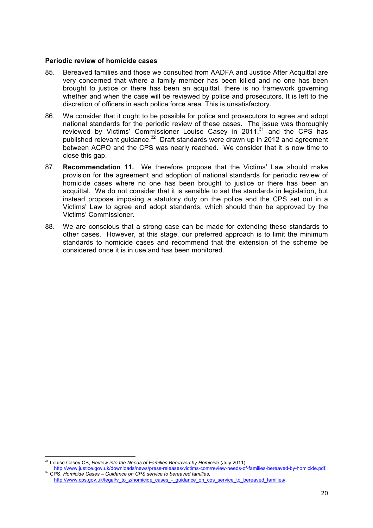#### **Periodic review of homicide cases**

- 85. Bereaved families and those we consulted from AADFA and Justice After Acquittal are very concerned that where a family member has been killed and no one has been brought to justice or there has been an acquittal, there is no framework governing whether and when the case will be reviewed by police and prosecutors. It is left to the discretion of officers in each police force area. This is unsatisfactory.
- 86. We consider that it ought to be possible for police and prosecutors to agree and adopt national standards for the periodic review of these cases. The issue was thoroughly reviewed by Victims' Commissioner Louise Casey in 2011,<sup>31</sup> and the CPS has published relevant guidance.<sup>32</sup> Draft standards were drawn up in 2012 and agreement between ACPO and the CPS was nearly reached. We consider that it is now time to close this gap.
- 87. **Recommendation 11.** We therefore propose that the Victims' Law should make provision for the agreement and adoption of national standards for periodic review of homicide cases where no one has been brought to justice or there has been an acquittal. We do not consider that it is sensible to set the standards in legislation, but instead propose imposing a statutory duty on the police and the CPS set out in a Victims' Law to agree and adopt standards, which should then be approved by the Victims' Commissioner.
- 88. We are conscious that a strong case can be made for extending these standards to other cases. However, at this stage, our preferred approach is to limit the minimum standards to homicide cases and recommend that the extension of the scheme be considered once it is in use and has been monitored.

<u> 1989 - Jan Samuel Barbara, margaret e</u>

<sup>31</sup> Louise Casey CB, *Review into the Needs of Families Bereaved by Homicide* (July 2011),

http://www.justice.gov.uk/downloads/news/press-releases/victims-com/review-needs-of-families-bereaved-by-homicide.pdf. 32 CPS, *Homicide Cases – Guidance on CPS service to bereaved families*,

http://www.cps.gov.uk/legal/v\_to\_z/homicide\_cases\_-\_guidance\_on\_cps\_service\_to\_bereaved\_families/.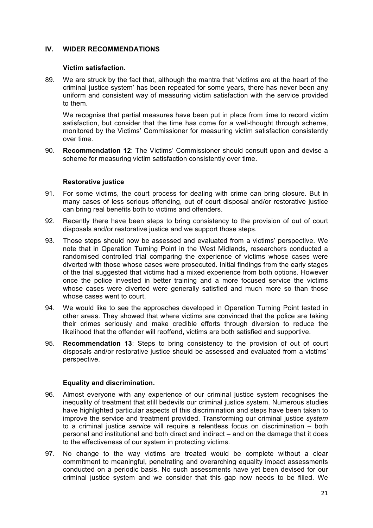# **IV. WIDER RECOMMENDATIONS**

#### **Victim satisfaction.**

89. We are struck by the fact that, although the mantra that 'victims are at the heart of the criminal justice system' has been repeated for some years, there has never been any uniform and consistent way of measuring victim satisfaction with the service provided to them.

We recognise that partial measures have been put in place from time to record victim satisfaction, but consider that the time has come for a well-thought through scheme, monitored by the Victims' Commissioner for measuring victim satisfaction consistently over time.

90. **Recommendation 12**: The Victims' Commissioner should consult upon and devise a scheme for measuring victim satisfaction consistently over time.

# **Restorative justice**

- 91. For some victims, the court process for dealing with crime can bring closure. But in many cases of less serious offending, out of court disposal and/or restorative justice can bring real benefits both to victims and offenders.
- 92. Recently there have been steps to bring consistency to the provision of out of court disposals and/or restorative justice and we support those steps.
- 93. Those steps should now be assessed and evaluated from a victims' perspective. We note that in Operation Turning Point in the West Midlands, researchers conducted a randomised controlled trial comparing the experience of victims whose cases were diverted with those whose cases were prosecuted. Initial findings from the early stages of the trial suggested that victims had a mixed experience from both options. However once the police invested in better training and a more focused service the victims whose cases were diverted were generally satisfied and much more so than those whose cases went to court.
- 94. We would like to see the approaches developed in Operation Turning Point tested in other areas. They showed that where victims are convinced that the police are taking their crimes seriously and make credible efforts through diversion to reduce the likelihood that the offender will reoffend, victims are both satisfied and supportive.
- 95. **Recommendation 13**: Steps to bring consistency to the provision of out of court disposals and/or restorative justice should be assessed and evaluated from a victims' perspective.

# **Equality and discrimination.**

- 96. Almost everyone with any experience of our criminal justice system recognises the inequality of treatment that still bedevils our criminal justice system. Numerous studies have highlighted particular aspects of this discrimination and steps have been taken to improve the service and treatment provided. Transforming our criminal justice *system* to a criminal justice *service* will require a relentless focus on discrimination – both personal and institutional and both direct and indirect – and on the damage that it does to the effectiveness of our system in protecting victims.
- 97. No change to the way victims are treated would be complete without a clear commitment to meaningful, penetrating and overarching equality impact assessments conducted on a periodic basis. No such assessments have yet been devised for our criminal justice system and we consider that this gap now needs to be filled. We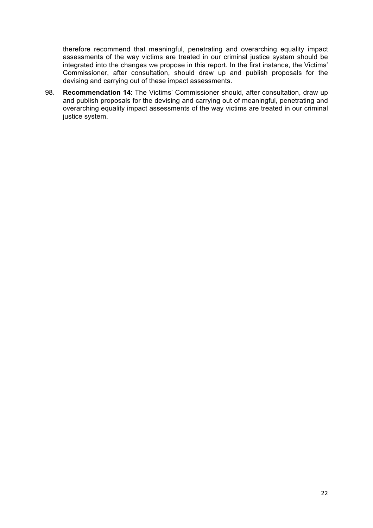therefore recommend that meaningful, penetrating and overarching equality impact assessments of the way victims are treated in our criminal justice system should be integrated into the changes we propose in this report. In the first instance, the Victims' Commissioner, after consultation, should draw up and publish proposals for the devising and carrying out of these impact assessments.

98. **Recommendation 14**: The Victims' Commissioner should, after consultation, draw up and publish proposals for the devising and carrying out of meaningful, penetrating and overarching equality impact assessments of the way victims are treated in our criminal justice system.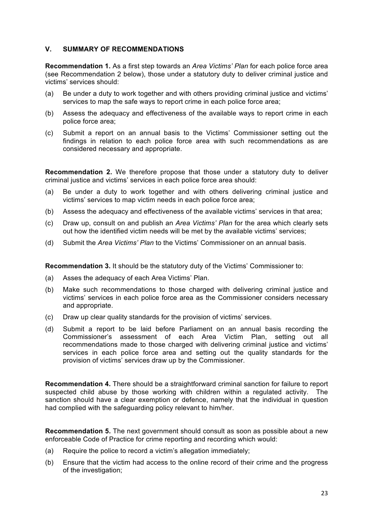# **V. SUMMARY OF RECOMMENDATIONS**

**Recommendation 1.** As a first step towards an *Area Victims' Plan* for each police force area (see Recommendation 2 below), those under a statutory duty to deliver criminal justice and victims' services should:

- (a) Be under a duty to work together and with others providing criminal justice and victims' services to map the safe ways to report crime in each police force area;
- (b) Assess the adequacy and effectiveness of the available ways to report crime in each police force area;
- (c) Submit a report on an annual basis to the Victims' Commissioner setting out the findings in relation to each police force area with such recommendations as are considered necessary and appropriate.

**Recommendation 2.** We therefore propose that those under a statutory duty to deliver criminal justice and victims' services in each police force area should:

- (a) Be under a duty to work together and with others delivering criminal justice and victims' services to map victim needs in each police force area;
- (b) Assess the adequacy and effectiveness of the available victims' services in that area;
- (c) Draw up, consult on and publish an *Area Victims' Plan* for the area which clearly sets out how the identified victim needs will be met by the available victims' services;
- (d) Submit the *Area Victims' Plan* to the Victims' Commissioner on an annual basis.

**Recommendation 3.** It should be the statutory duty of the Victims' Commissioner to:

- (a) Asses the adequacy of each Area Victims' Plan.
- (b) Make such recommendations to those charged with delivering criminal justice and victims' services in each police force area as the Commissioner considers necessary and appropriate.
- (c) Draw up clear quality standards for the provision of victims' services.
- (d) Submit a report to be laid before Parliament on an annual basis recording the Commissioner's assessment of each Area Victim Plan, setting out all recommendations made to those charged with delivering criminal justice and victims' services in each police force area and setting out the quality standards for the provision of victims' services draw up by the Commissioner.

**Recommendation 4.** There should be a straightforward criminal sanction for failure to report suspected child abuse by those working with children within a regulated activity. The sanction should have a clear exemption or defence, namely that the individual in question had complied with the safeguarding policy relevant to him/her.

**Recommendation 5.** The next government should consult as soon as possible about a new enforceable Code of Practice for crime reporting and recording which would:

- (a) Require the police to record a victim's allegation immediately;
- (b) Ensure that the victim had access to the online record of their crime and the progress of the investigation;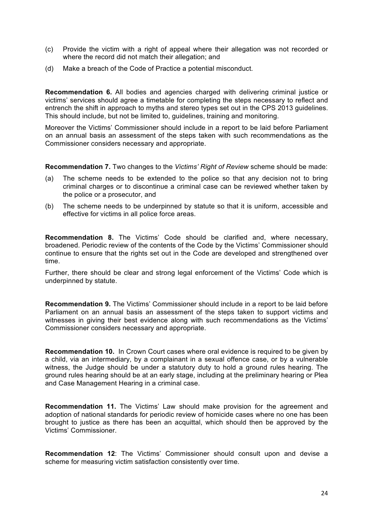- (c) Provide the victim with a right of appeal where their allegation was not recorded or where the record did not match their allegation; and
- (d) Make a breach of the Code of Practice a potential misconduct.

**Recommendation 6.** All bodies and agencies charged with delivering criminal justice or victims' services should agree a timetable for completing the steps necessary to reflect and entrench the shift in approach to myths and stereo types set out in the CPS 2013 guidelines. This should include, but not be limited to, guidelines, training and monitoring.

Moreover the Victims' Commissioner should include in a report to be laid before Parliament on an annual basis an assessment of the steps taken with such recommendations as the Commissioner considers necessary and appropriate.

**Recommendation 7.** Two changes to the *Victims' Right of Review* scheme should be made:

- (a) The scheme needs to be extended to the police so that any decision not to bring criminal charges or to discontinue a criminal case can be reviewed whether taken by the police or a prosecutor, and
- (b) The scheme needs to be underpinned by statute so that it is uniform, accessible and effective for victims in all police force areas.

**Recommendation 8.** The Victims' Code should be clarified and, where necessary, broadened. Periodic review of the contents of the Code by the Victims' Commissioner should continue to ensure that the rights set out in the Code are developed and strengthened over time.

Further, there should be clear and strong legal enforcement of the Victims' Code which is underpinned by statute.

**Recommendation 9.** The Victims' Commissioner should include in a report to be laid before Parliament on an annual basis an assessment of the steps taken to support victims and witnesses in giving their best evidence along with such recommendations as the Victims' Commissioner considers necessary and appropriate.

**Recommendation 10.** In Crown Court cases where oral evidence is required to be given by a child, via an intermediary, by a complainant in a sexual offence case, or by a vulnerable witness, the Judge should be under a statutory duty to hold a ground rules hearing. The ground rules hearing should be at an early stage, including at the preliminary hearing or Plea and Case Management Hearing in a criminal case.

**Recommendation 11.** The Victims' Law should make provision for the agreement and adoption of national standards for periodic review of homicide cases where no one has been brought to justice as there has been an acquittal, which should then be approved by the Victims' Commissioner.

**Recommendation 12**: The Victims' Commissioner should consult upon and devise a scheme for measuring victim satisfaction consistently over time.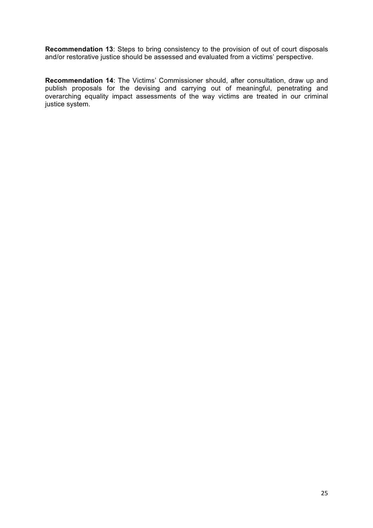**Recommendation 13**: Steps to bring consistency to the provision of out of court disposals and/or restorative justice should be assessed and evaluated from a victims' perspective.

**Recommendation 14**: The Victims' Commissioner should, after consultation, draw up and publish proposals for the devising and carrying out of meaningful, penetrating and overarching equality impact assessments of the way victims are treated in our criminal justice system.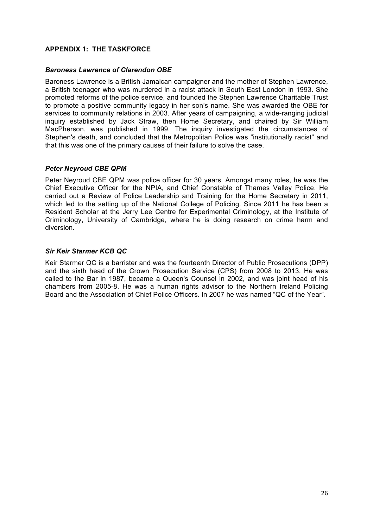# **APPENDIX 1: THE TASKFORCE**

#### *Baroness Lawrence of Clarendon OBE*

Baroness Lawrence is a British Jamaican campaigner and the mother of Stephen Lawrence, a British teenager who was murdered in a racist attack in South East London in 1993. She promoted reforms of the police service, and founded the Stephen Lawrence Charitable Trust to promote a positive community legacy in her son's name. She was awarded the OBE for services to community relations in 2003. After years of campaigning, a wide-ranging judicial inquiry established by Jack Straw, then Home Secretary, and chaired by Sir William MacPherson, was published in 1999. The inquiry investigated the circumstances of Stephen's death, and concluded that the Metropolitan Police was "institutionally racist" and that this was one of the primary causes of their failure to solve the case.

#### *Peter Neyroud CBE QPM*

Peter Neyroud CBE QPM was police officer for 30 years. Amongst many roles, he was the Chief Executive Officer for the NPIA, and Chief Constable of Thames Valley Police. He carried out a Review of Police Leadership and Training for the Home Secretary in 2011, which led to the setting up of the National College of Policing. Since 2011 he has been a Resident Scholar at the Jerry Lee Centre for Experimental Criminology, at the Institute of Criminology, University of Cambridge, where he is doing research on crime harm and diversion.

#### *Sir Keir Starmer KCB QC*

Keir Starmer QC is a barrister and was the fourteenth Director of Public Prosecutions (DPP) and the sixth head of the Crown Prosecution Service (CPS) from 2008 to 2013. He was called to the Bar in 1987, became a Queen's Counsel in 2002, and was joint head of his chambers from 2005-8. He was a human rights advisor to the Northern Ireland Policing Board and the Association of Chief Police Officers. In 2007 he was named "QC of the Year".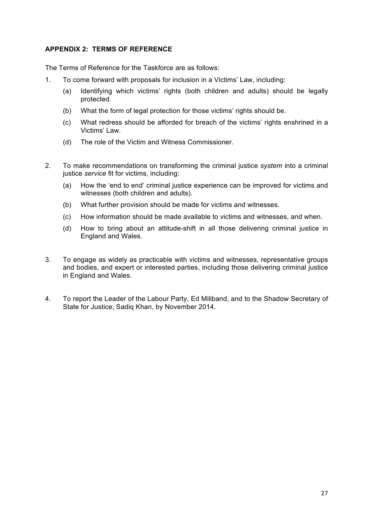# **APPENDIX 2: TERMS OF REFERENCE**

The Terms of Reference for the Taskforce are as follows:

- 1. To come forward with proposals for inclusion in a Victims' Law, including:
	- (a) Identifying which victims' rights (both children and adults) should be legally protected.
	- (b) What the form of legal protection for those victims' rights should be.
	- (c) What redress should be afforded for breach of the victims' rights enshrined in a Victims' Law.
	- (d) The role of the Victim and Witness Commissioner.
- 2. To make recommendations on transforming the criminal justice *system* into a criminal justice *service* fit for victims, including:
	- (a) How the 'end to end' criminal justice experience can be improved for victims and witnesses (both children and adults).
	- (b) What further provision should be made for victims and witnesses.
	- (c) How information should be made available to victims and witnesses, and when.
	- (d) How to bring about an attitude-shift in all those delivering criminal justice in England and Wales.
- 3. To engage as widely as practicable with victims and witnesses, representative groups and bodies, and expert or interested parties, including those delivering criminal justice in England and Wales.
- 4. To report the Leader of the Labour Party, Ed Miliband, and to the Shadow Secretary of State for Justice, Sadiq Khan, by November 2014.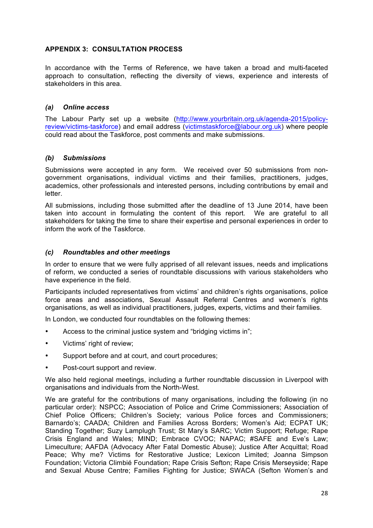# **APPENDIX 3: CONSULTATION PROCESS**

In accordance with the Terms of Reference, we have taken a broad and multi-faceted approach to consultation, reflecting the diversity of views, experience and interests of stakeholders in this area.

#### *(a) Online access*

The Labour Party set up a website (http://www.yourbritain.org.uk/agenda-2015/policyreview/victims-taskforce) and email address (victimstaskforce@labour.org.uk) where people could read about the Taskforce, post comments and make submissions.

#### *(b) Submissions*

Submissions were accepted in any form. We received over 50 submissions from nongovernment organisations, individual victims and their families, practitioners, judges, academics, other professionals and interested persons, including contributions by email and letter.

All submissions, including those submitted after the deadline of 13 June 2014, have been taken into account in formulating the content of this report. We are grateful to all stakeholders for taking the time to share their expertise and personal experiences in order to inform the work of the Taskforce.

#### *(c) Roundtables and other meetings*

In order to ensure that we were fully apprised of all relevant issues, needs and implications of reform, we conducted a series of roundtable discussions with various stakeholders who have experience in the field.

Participants included representatives from victims' and children's rights organisations, police force areas and associations, Sexual Assault Referral Centres and women's rights organisations, as well as individual practitioners, judges, experts, victims and their families.

In London, we conducted four roundtables on the following themes:

- Access to the criminal justice system and "bridging victims in";
- Victims' right of review;
- Support before and at court, and court procedures;
- Post-court support and review.

We also held regional meetings, including a further roundtable discussion in Liverpool with organisations and individuals from the North-West.

We are grateful for the contributions of many organisations, including the following (in no particular order): NSPCC; Association of Police and Crime Commissioners; Association of Chief Police Officers; Children's Society; various Police forces and Commissioners; Barnardo's; CAADA; Children and Families Across Borders; Women's Aid; ECPAT UK; Standing Together; Suzy Lamplugh Trust; St Mary's SARC; Victim Support; Refuge; Rape Crisis England and Wales; MIND; Embrace CVOC; NAPAC; #SAFE and Eve's Law; Limeculture; AAFDA (Advocacy After Fatal Domestic Abuse); Justice After Acquittal; Road Peace; Why me? Victims for Restorative Justice; Lexicon Limited; Joanna Simpson Foundation; Victoria Climbié Foundation; Rape Crisis Sefton; Rape Crisis Merseyside; Rape and Sexual Abuse Centre; Families Fighting for Justice; SWACA (Sefton Women's and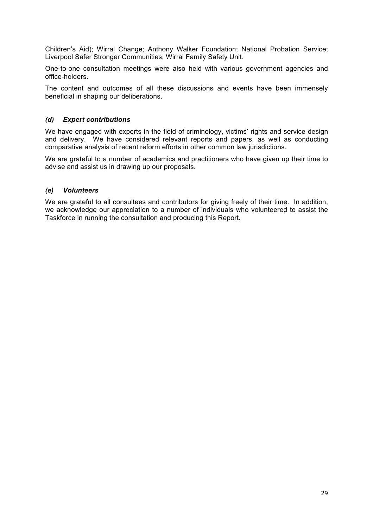Children's Aid); Wirral Change; Anthony Walker Foundation; National Probation Service; Liverpool Safer Stronger Communities; Wirral Family Safety Unit.

One-to-one consultation meetings were also held with various government agencies and office-holders.

The content and outcomes of all these discussions and events have been immensely beneficial in shaping our deliberations.

# *(d) Expert contributions*

We have engaged with experts in the field of criminology, victims' rights and service design and delivery. We have considered relevant reports and papers, as well as conducting comparative analysis of recent reform efforts in other common law jurisdictions.

We are grateful to a number of academics and practitioners who have given up their time to advise and assist us in drawing up our proposals.

# *(e) Volunteers*

We are grateful to all consultees and contributors for giving freely of their time. In addition, we acknowledge our appreciation to a number of individuals who volunteered to assist the Taskforce in running the consultation and producing this Report.